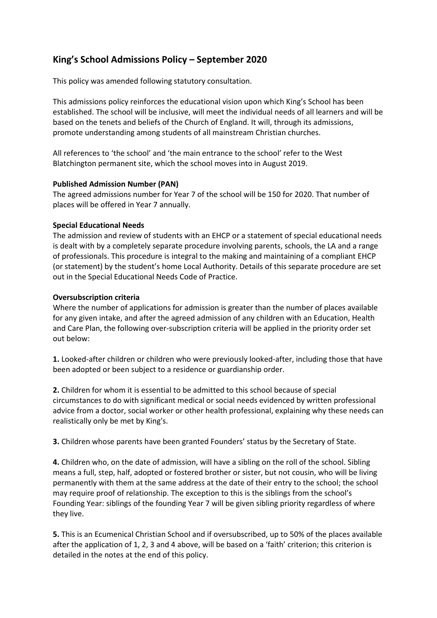# **King's School Admissions Policy – September 2020**

This policy was amended following statutory consultation.

This admissions policy reinforces the educational vision upon which King's School has been established. The school will be inclusive, will meet the individual needs of all learners and will be based on the tenets and beliefs of the Church of England. It will, through its admissions, promote understanding among students of all mainstream Christian churches.

All references to 'the school' and 'the main entrance to the school' refer to the West Blatchington permanent site, which the school moves into in August 2019.

## **Published Admission Number (PAN)**

The agreed admissions number for Year 7 of the school will be 150 for 2020. That number of places will be offered in Year 7 annually.

## **Special Educational Needs**

The admission and review of students with an EHCP or a statement of special educational needs is dealt with by a completely separate procedure involving parents, schools, the LA and a range of professionals. This procedure is integral to the making and maintaining of a compliant EHCP (or statement) by the student's home Local Authority. Details of this separate procedure are set out in the Special Educational Needs Code of Practice.

## **Oversubscription criteria**

Where the number of applications for admission is greater than the number of places available for any given intake, and after the agreed admission of any children with an Education, Health and Care Plan, the following over-subscription criteria will be applied in the priority order set out below:

**1.** Looked-after children or children who were previously looked-after, including those that have been adopted or been subject to a residence or guardianship order.

**2.** Children for whom it is essential to be admitted to this school because of special circumstances to do with significant medical or social needs evidenced by written professional advice from a doctor, social worker or other health professional, explaining why these needs can realistically only be met by King's.

**3.** Children whose parents have been granted Founders' status by the Secretary of State.

**4.** Children who, on the date of admission, will have a sibling on the roll of the school. Sibling means a full, step, half, adopted or fostered brother or sister, but not cousin, who will be living permanently with them at the same address at the date of their entry to the school; the school may require proof of relationship. The exception to this is the siblings from the school's Founding Year: siblings of the founding Year 7 will be given sibling priority regardless of where they live.

**5.** This is an Ecumenical Christian School and if oversubscribed, up to 50% of the places available after the application of 1, 2, 3 and 4 above, will be based on a 'faith' criterion; this criterion is detailed in the notes at the end of this policy.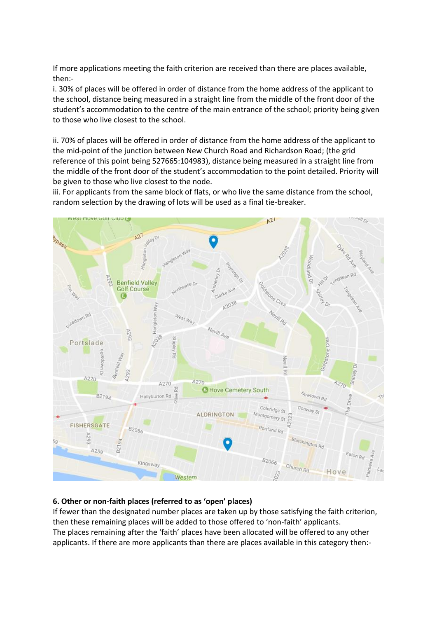If more applications meeting the faith criterion are received than there are places available, then:-

i. 30% of places will be offered in order of distance from the home address of the applicant to the school, distance being measured in a straight line from the middle of the front door of the student's accommodation to the centre of the main entrance of the school; priority being given to those who live closest to the school.

ii. 70% of places will be offered in order of distance from the home address of the applicant to the mid-point of the junction between New Church Road and Richardson Road; (the grid reference of this point being 527665:104983), distance being measured in a straight line from the middle of the front door of the student's accommodation to the point detailed. Priority will be given to those who live closest to the node.

iii. For applicants from the same block of flats, or who live the same distance from the school, random selection by the drawing of lots will be used as a final tie-breaker.



# **6. Other or non-faith places (referred to as 'open' places)**

If fewer than the designated number places are taken up by those satisfying the faith criterion, then these remaining places will be added to those offered to 'non-faith' applicants. The places remaining after the 'faith' places have been allocated will be offered to any other applicants. If there are more applicants than there are places available in this category then:-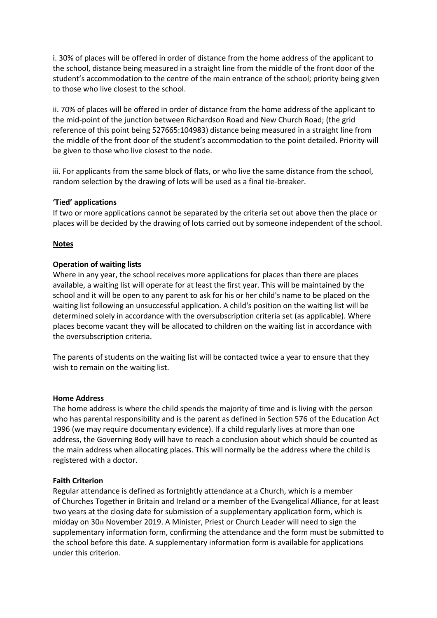i. 30% of places will be offered in order of distance from the home address of the applicant to the school, distance being measured in a straight line from the middle of the front door of the student's accommodation to the centre of the main entrance of the school; priority being given to those who live closest to the school.

ii. 70% of places will be offered in order of distance from the home address of the applicant to the mid-point of the junction between Richardson Road and New Church Road; (the grid reference of this point being 527665:104983) distance being measured in a straight line from the middle of the front door of the student's accommodation to the point detailed. Priority will be given to those who live closest to the node.

iii. For applicants from the same block of flats, or who live the same distance from the school, random selection by the drawing of lots will be used as a final tie-breaker.

#### **'Tied' applications**

If two or more applications cannot be separated by the criteria set out above then the place or places will be decided by the drawing of lots carried out by someone independent of the school.

#### **Notes**

#### **Operation of waiting lists**

Where in any year, the school receives more applications for places than there are places available, a waiting list will operate for at least the first year. This will be maintained by the school and it will be open to any parent to ask for his or her child's name to be placed on the waiting list following an unsuccessful application. A child's position on the waiting list will be determined solely in accordance with the oversubscription criteria set (as applicable). Where places become vacant they will be allocated to children on the waiting list in accordance with the oversubscription criteria.

The parents of students on the waiting list will be contacted twice a year to ensure that they wish to remain on the waiting list.

#### **Home Address**

The home address is where the child spends the majority of time and is living with the person who has parental responsibility and is the parent as defined in Section 576 of the Education Act 1996 (we may require documentary evidence). If a child regularly lives at more than one address, the Governing Body will have to reach a conclusion about which should be counted as the main address when allocating places. This will normally be the address where the child is registered with a doctor.

#### **Faith Criterion**

Regular attendance is defined as fortnightly attendance at a Church, which is a member of Churches Together in Britain and Ireland or a member of the Evangelical Alliance, for at least two years at the closing date for submission of a supplementary application form, which is midday on 30th November 2019. A Minister, Priest or Church Leader will need to sign the supplementary information form, confirming the attendance and the form must be submitted to the school before this date. A supplementary information form is available for applications under this criterion.